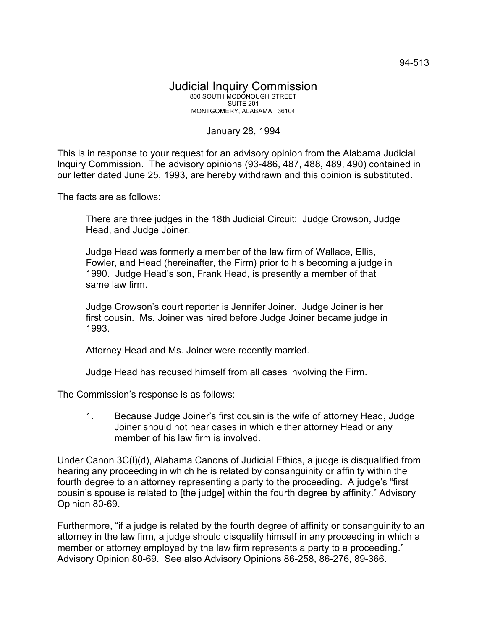## Judicial Inquiry Commission 800 SOUTH MCDONOUGH STREET SUITE 201 MONTGOMERY, ALABAMA 36104

## January 28, 1994

This is in response to your request for an advisory opinion from the Alabama Judicial Inquiry Commission. The advisory opinions (93-486, 487, 488, 489, 490) contained in our letter dated June 25, 1993, are hereby withdrawn and this opinion is substituted.

The facts are as follows:

There are three judges in the 18th Judicial Circuit: Judge Crowson, Judge Head, and Judge Joiner.

Judge Head was formerly a member of the law firm of Wallace, Ellis, Fowler, and Head (hereinafter, the Firm) prior to his becoming a judge in 1990. Judge Head's son, Frank Head, is presently a member of that same law firm.

Judge Crowson's court reporter is Jennifer Joiner. Judge Joiner is her first cousin. Ms. Joiner was hired before Judge Joiner became judge in 1993.

Attorney Head and Ms. Joiner were recently married.

Judge Head has recused himself from all cases involving the Firm.

The Commission's response is as follows:

1. Because Judge Joiner's first cousin is the wife of attorney Head, Judge Joiner should not hear cases in which either attorney Head or any member of his law firm is involved.

Under Canon 3C(l)(d), Alabama Canons of Judicial Ethics, a judge is disqualified from hearing any proceeding in which he is related by consanguinity or affinity within the fourth degree to an attorney representing a party to the proceeding. A judge's "first cousin's spouse is related to [the judge] within the fourth degree by affinity." Advisory Opinion 80-69.

Furthermore, "if a judge is related by the fourth degree of affinity or consanguinity to an attorney in the law firm, a judge should disqualify himself in any proceeding in which a member or attorney employed by the law firm represents a party to a proceeding." Advisory Opinion 80-69. See also Advisory Opinions 86-258, 86-276, 89-366.